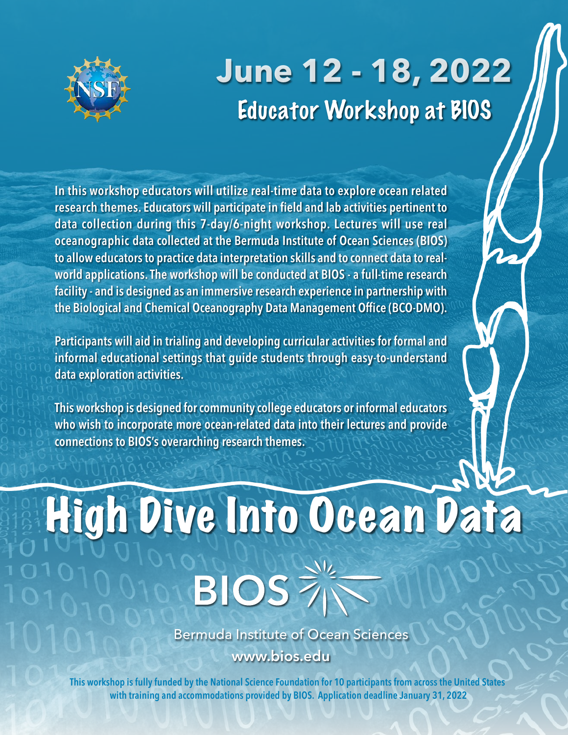## **June 12 - 18, 2022** Educator Workshop at BIOS



In this workshop educators will utilize real-time data to explore ocean related research themes. Educators will participate in field and lab activities pertinent to data collection during this 7-day/6-night workshop. Lectures will use real oceanographic data collected at the Bermuda Institute of Ocean Sciences (BIOS) to allow educators to practice data interpretation skills and to connect data to realworld applications.The workshop will be conducted at BIOS - a full-time research facility - and is designed as an immersive research experience in partnership with the Biological and Chemical Oceanography Data Management Office (BCO-DMO).

Participants will aid in trialing and developing curricular activities for formal and informal educational settings that guide students through easy-to-understand data exploration activities.

This workshop is designed forcommunity college educators or informal educators who wish to incorporate more ocean-related data into their lectures and provide connections to BIOS's overarching research themes.

## High Dive Into Ocean Data **BIOS**

Bermuda Institute of Ocean Sciences www.bios.edu

This workshop is fully funded by the National Science Foundation for 10 participants from across the United States with training and accommodations provided by BIOS. Application deadline January 31, 2022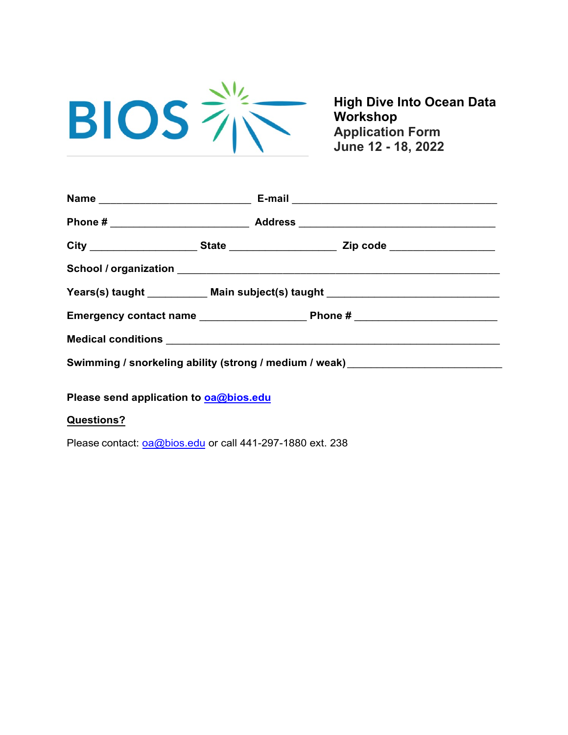

**High Dive Into Ocean Data Workshop Application Form June 12 - 18, 2022** 

| E-mail 2008 2009 2010 2021 2022 2023 2024 2022 2023 2024 2022 2023 2024 2022 2023 2024 2022 2023 2024 2025 20 |
|---------------------------------------------------------------------------------------------------------------|
|                                                                                                               |
| City _______________________State ________________________Zip code ______________                             |
|                                                                                                               |
| Years(s) taught ____________ Main subject(s) taught ____________________________                              |
|                                                                                                               |
|                                                                                                               |
| Swimming / snorkeling ability (strong / medium / weak) _________________________                              |
|                                                                                                               |

**Please send application to [oa@bios.edu](mailto:oa@bios.edu)**

## **Questions?**

Please contact: [oa@bios.edu](mailto:oa@bios.edu) or call 441-297-1880 ext. 238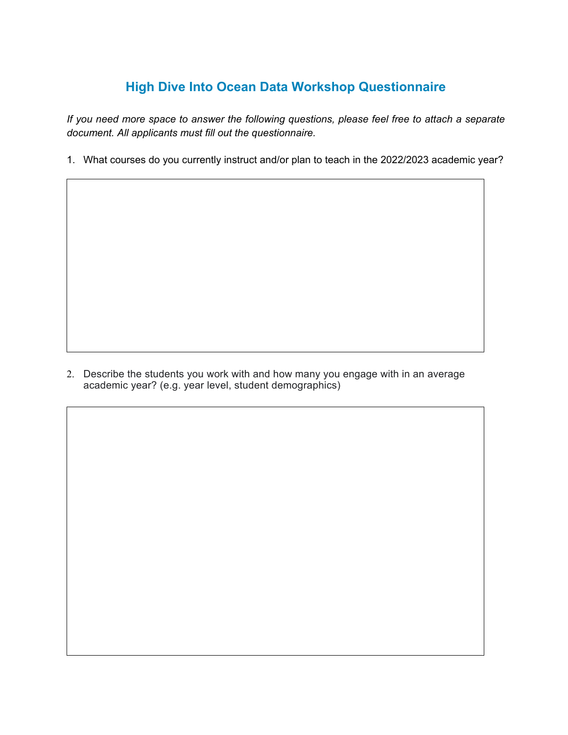## **High Dive Into Ocean Data Workshop Questionnaire**

*If you need more space to answer the following questions, please feel free to attach a separate document. All applicants must fill out the questionnaire.*

1. What courses do you currently instruct and/or plan to teach in the 2022/2023 academic year?

2. Describe the students you work with and how many you engage with in an average academic year? (e.g. year level, student demographics)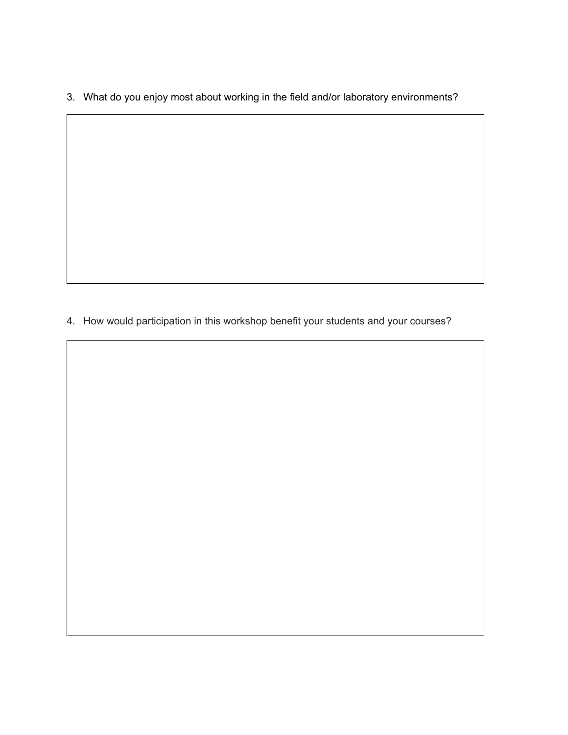3. What do you enjoy most about working in the field and/or laboratory environments?

4. How would participation in this workshop benefit your students and your courses?

3. How do you currently integrate scientific data into your courses?

 $\overline{\phantom{a}}$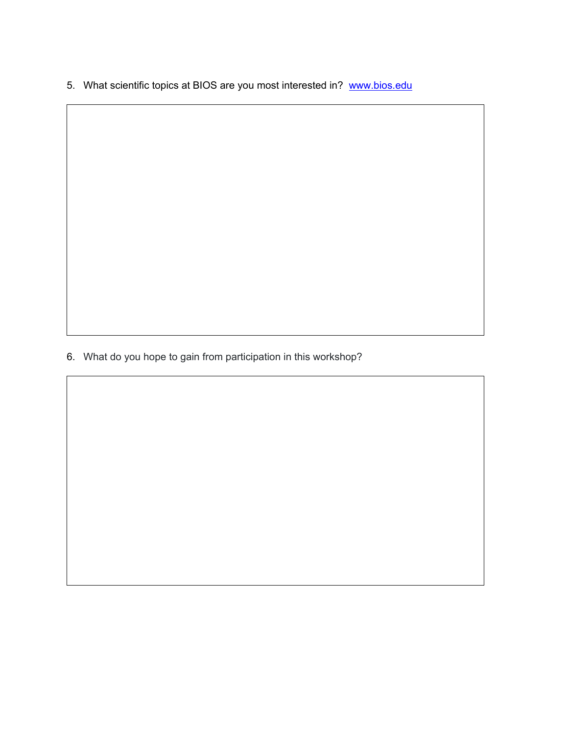5. What scientific topics at BIOS are you most interested in? [www.bios.edu](http://www.bios.edu/)

6. What do you hope to gain from participation in this workshop?